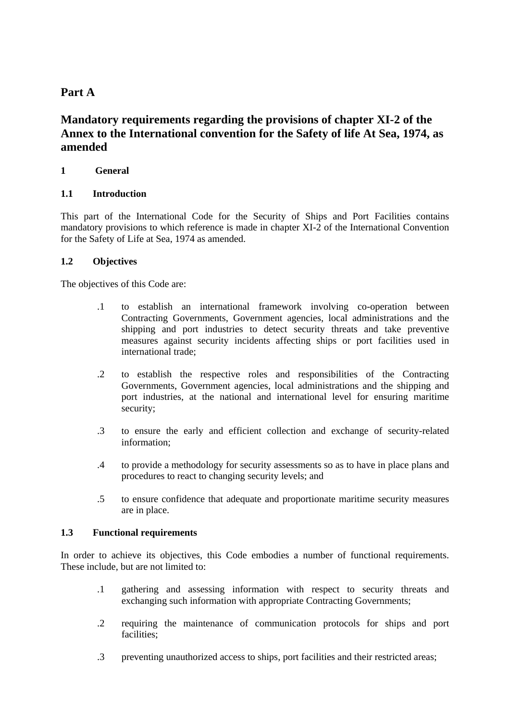# **Part A**

# **Mandatory requirements regarding the provisions of chapter XI-2 of the Annex to the International convention for the Safety of life At Sea, 1974, as amended**

## **1 General**

#### **1.1 Introduction**

This part of the International Code for the Security of Ships and Port Facilities contains mandatory provisions to which reference is made in chapter XI-2 of the International Convention for the Safety of Life at Sea, 1974 as amended.

## **1.2 Objectives**

The objectives of this Code are:

- .1 to establish an international framework involving co-operation between Contracting Governments, Government agencies, local administrations and the shipping and port industries to detect security threats and take preventive measures against security incidents affecting ships or port facilities used in international trade;
- .2 to establish the respective roles and responsibilities of the Contracting Governments, Government agencies, local administrations and the shipping and port industries, at the national and international level for ensuring maritime security;
- .3 to ensure the early and efficient collection and exchange of security-related information;
- .4 to provide a methodology for security assessments so as to have in place plans and procedures to react to changing security levels; and
- .5 to ensure confidence that adequate and proportionate maritime security measures are in place.

#### **1.3 Functional requirements**

In order to achieve its objectives, this Code embodies a number of functional requirements. These include, but are not limited to:

- .1 gathering and assessing information with respect to security threats and exchanging such information with appropriate Contracting Governments;
- .2 requiring the maintenance of communication protocols for ships and port facilities:
- .3 preventing unauthorized access to ships, port facilities and their restricted areas;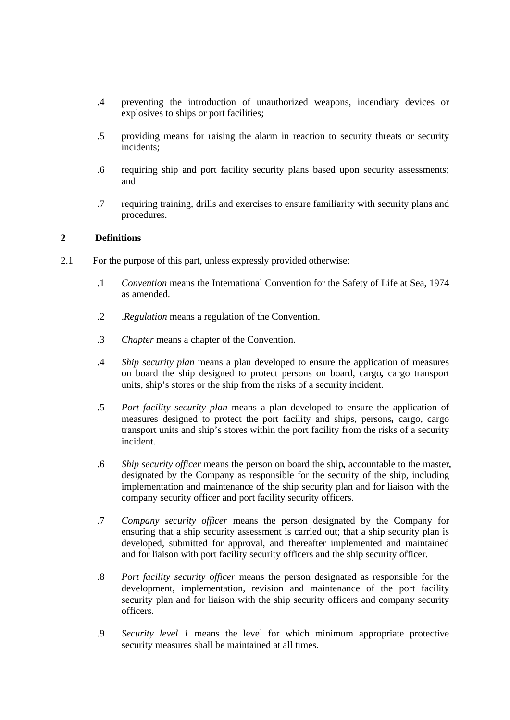- .4 preventing the introduction of unauthorized weapons, incendiary devices or explosives to ships or port facilities;
- .5 providing means for raising the alarm in reaction to security threats or security incidents;
- .6 requiring ship and port facility security plans based upon security assessments; and
- .7 requiring training, drills and exercises to ensure familiarity with security plans and procedures.

#### **2 Definitions**

- 2.1For the purpose of this part, unless expressly provided otherwise:
	- .1 *Convention* means the International Convention for the Safety of Life at Sea, 1974 as amended.
	- .2 .*Regulation* means a regulation of the Convention.
	- .3 *Chapter* means a chapter of the Convention.
	- .4 *Ship security plan* means a plan developed to ensure the application of measures on board the ship designed to protect persons on board, cargo*,* cargo transport units, ship's stores or the ship from the risks of a security incident.
	- .5 *Port facility security plan* means a plan developed to ensure the application of measures designed to protect the port facility and ships, persons*,* cargo, cargo transport units and ship's stores within the port facility from the risks of a security incident.
	- .6 *Ship security officer* means the person on board the ship*,* accountable to the master*,* designated by the Company as responsible for the security of the ship, including implementation and maintenance of the ship security plan and for liaison with the company security officer and port facility security officers.
	- .7 *Company security officer* means the person designated by the Company for ensuring that a ship security assessment is carried out; that a ship security plan is developed, submitted for approval, and thereafter implemented and maintained and for liaison with port facility security officers and the ship security officer.
	- .8 *Port facility security officer* means the person designated as responsible for the development, implementation, revision and maintenance of the port facility security plan and for liaison with the ship security officers and company security officers.
	- .9 *Security level 1* means the level for which minimum appropriate protective security measures shall be maintained at all times.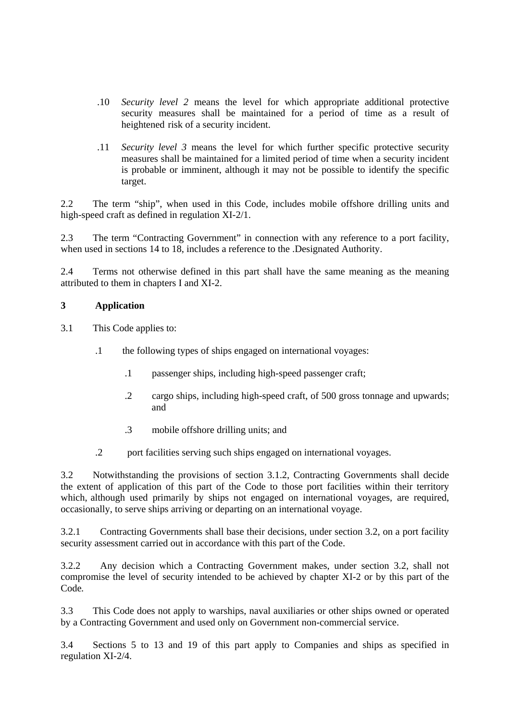- .10 *Security level 2* means the level for which appropriate additional protective security measures shall be maintained for a period of time as a result of heightened risk of a security incident.
- .11 *Security level 3* means the level for which further specific protective security measures shall be maintained for a limited period of time when a security incident is probable or imminent, although it may not be possible to identify the specific target.

2.2 The term "ship", when used in this Code, includes mobile offshore drilling units and high-speed craft as defined in regulation XI-2/1.

2.3 The term "Contracting Government" in connection with any reference to a port facility, when used in sections 14 to 18, includes a reference to the .Designated Authority.

2.4 Terms not otherwise defined in this part shall have the same meaning as the meaning attributed to them in chapters I and XI-2.

#### **3 Application**

3.1 This Code applies to:

- .1 the following types of ships engaged on international voyages:
	- .1 passenger ships, including high-speed passenger craft;
	- .2 cargo ships, including high-speed craft, of 500 gross tonnage and upwards; and
	- .3 mobile offshore drilling units; and
- .2 port facilities serving such ships engaged on international voyages.

3.2 Notwithstanding the provisions of section 3.1.2, Contracting Governments shall decide the extent of application of this part of the Code to those port facilities within their territory which, although used primarily by ships not engaged on international voyages, are required, occasionally, to serve ships arriving or departing on an international voyage.

3.2.1 Contracting Governments shall base their decisions, under section 3.2, on a port facility security assessment carried out in accordance with this part of the Code.

3.2.2 Any decision which a Contracting Government makes, under section 3.2, shall not compromise the level of security intended to be achieved by chapter XI-2 or by this part of the Code*.*

3.3 This Code does not apply to warships, naval auxiliaries or other ships owned or operated by a Contracting Government and used only on Government non-commercial service.

3.4 Sections 5 to 13 and 19 of this part apply to Companies and ships as specified in regulation XI-2/4.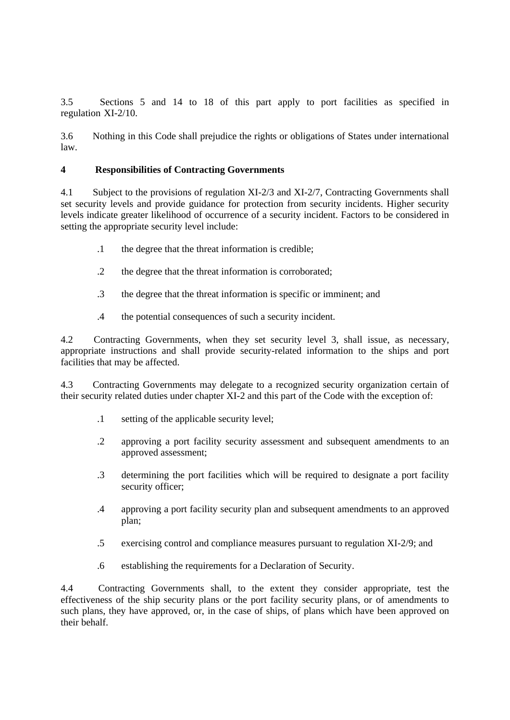3.5 Sections 5 and 14 to 18 of this part apply to port facilities as specified in regulation-XI-2/10.

3.6 Nothing in this Code shall prejudice the rights or obligations of States under international law.

## **4 Responsibilities of Contracting Governments**

4.1Subject to the provisions of regulation XI-2/3 and XI-2/7, Contracting Governments shall set security levels and provide guidance for protection from security incidents. Higher security levels indicate greater likelihood of occurrence of a security incident. Factors to be considered in setting the appropriate security level include:

- .1 the degree that the threat information is credible;
- .2 the degree that the threat information is corroborated;
- .3 the degree that the threat information is specific or imminent; and
- .4 the potential consequences of such a security incident.

4.2Contracting Governments, when they set security level 3, shall issue, as necessary, appropriate instructions and shall provide security-related information to the ships and port facilities that may be affected.

4.3Contracting Governments may delegate to a recognized security organization certain of their security related duties under chapter XI-2 and this part of the Code with the exception of:

- .1 setting of the applicable security level;
- .2 approving a port facility security assessment and subsequent amendments to an approved assessment;
- .3 determining the port facilities which will be required to designate a port facility security officer;
- .4 approving a port facility security plan and subsequent amendments to an approved plan;
- .5 exercising control and compliance measures pursuant to regulation XI-2/9; and
- .6 establishing the requirements for a Declaration of Security.

4.4Contracting Governments shall, to the extent they consider appropriate, test the effectiveness of the ship security plans or the port facility security plans, or of amendments to such plans, they have approved, or, in the case of ships, of plans which have been approved on their behalf.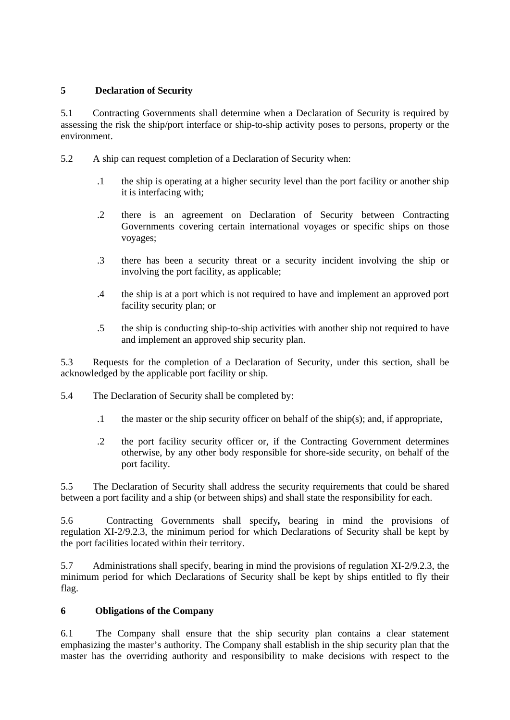## **5 Declaration of Security**

5.1Contracting Governments shall determine when a Declaration of Security is required by assessing the risk the ship/port interface or ship-to-ship activity poses to persons, property or the environment.

- 5.2A ship can request completion of a Declaration of Security when:
	- .1 the ship is operating at a higher security level than the port facility or another ship it is interfacing with;
	- .2 there is an agreement on Declaration of Security between Contracting Governments covering certain international voyages or specific ships on those voyages;
	- .3 there has been a security threat or a security incident involving the ship or involving the port facility, as applicable;
	- .4 the ship is at a port which is not required to have and implement an approved port facility security plan; or
	- .5 the ship is conducting ship-to-ship activities with another ship not required to have and implement an approved ship security plan.

5.3Requests for the completion of a Declaration of Security, under this section, shall be acknowledged by the applicable port facility or ship.

- 5.4The Declaration of Security shall be completed by:
	- .1 the master or the ship security officer on behalf of the ship(s); and, if appropriate,
	- .2 the port facility security officer or, if the Contracting Government determines otherwise, by any other body responsible for shore-side security, on behalf of the port facility.

5.5The Declaration of Security shall address the security requirements that could be shared between a port facility and a ship (or between ships) and shall state the responsibility for each.

5.6Contracting Governments shall specify*,* bearing in mind the provisions of regulation-XI-2/9.2.3, the minimum period for which Declarations of Security shall be kept by the port facilities located within their territory.

5.7Administrations shall specify, bearing in mind the provisions of regulation XI-2/9.2.3, the minimum period for which Declarations of Security shall be kept by ships entitled to fly their flag.

## **6 Obligations of the Company**

6.1The Company shall ensure that the ship security plan contains a clear statement emphasizing the master's authority. The Company shall establish in the ship security plan that the master has the overriding authority and responsibility to make decisions with respect to the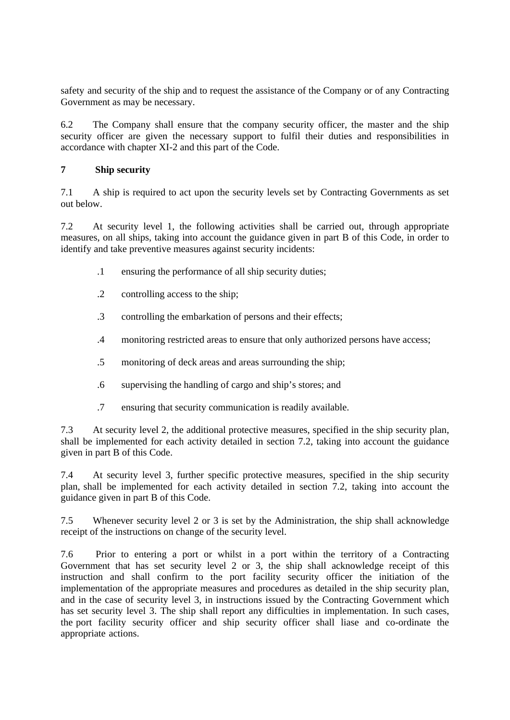safety and security of the ship and to request the assistance of the Company or of any Contracting Government as may be necessary.

6.2The Company shall ensure that the company security officer, the master and the ship security officer are given the necessary support to fulfil their duties and responsibilities in accordance with chapter XI-2 and this part of the Code.

## **7 Ship security**

7.1A ship is required to act upon the security levels set by Contracting Governments as set out below.

7.2At security level 1, the following activities shall be carried out, through appropriate measures, on all ships, taking into account the guidance given in part B of this Code, in order to identify and take preventive measures against security incidents:

- .1 ensuring the performance of all ship security duties;
- .2 controlling access to the ship;
- .3 controlling the embarkation of persons and their effects;
- .4 monitoring restricted areas to ensure that only authorized persons have access;
- .5 monitoring of deck areas and areas surrounding the ship;
- .6 supervising the handling of cargo and ship's stores; and
- .7 ensuring that security communication is readily available.

7.3At security level 2, the additional protective measures, specified in the ship security plan, shall be implemented for each activity detailed in section 7.2, taking into account the guidance given in part B of this Code.

7.4At security level 3, further specific protective measures, specified in the ship security plan,-shall be implemented for each activity detailed in section 7.2, taking into account the guidance given in part B of this Code.

7.5Whenever security level 2 or 3 is set by the Administration, the ship shall acknowledge receipt of the instructions on change of the security level.

7.6Prior to entering a port or whilst in a port within the territory of a Contracting Government that has set security level 2 or 3, the ship shall acknowledge receipt of this instruction and shall confirm to the port facility security officer the initiation of the implementation of the appropriate measures and procedures as detailed in the ship security plan, and in the case of security level 3, in instructions issued by the Contracting Government which has set security level 3. The ship shall report any difficulties in implementation. In such cases, the port facility security officer and ship security officer shall liase and co-ordinate the appropriate actions.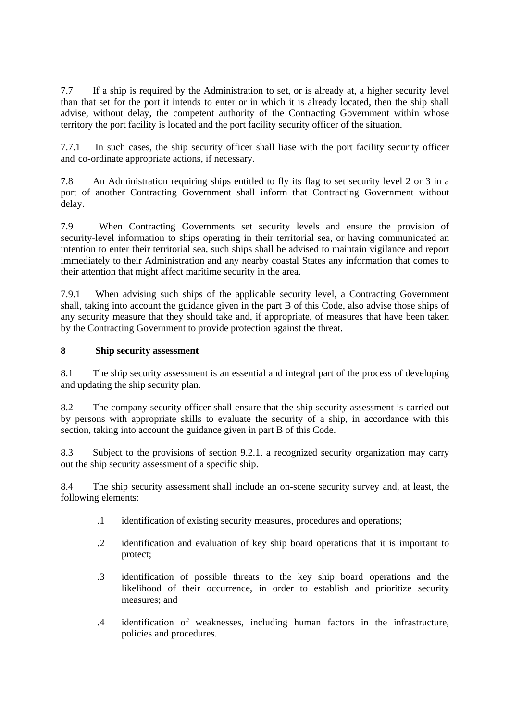7.7If a ship is required by the Administration to set, or is already at, a higher security level than that set for the port it intends to enter or in which it is already located, then the ship shall advise, without delay, the competent authority of the Contracting Government within whose territory the port facility is located and the port facility security officer of the situation.

7.7.1 In such cases, the ship security officer shall liase with the port facility security officer and-co-ordinate appropriate actions, if necessary.

7.8An Administration requiring ships entitled to fly its flag to set security level 2 or 3 in a port of another Contracting Government shall inform that Contracting Government without delay.

7.9When Contracting Governments set security levels and ensure the provision of security-level information to ships operating in their territorial sea, or having communicated an intention to enter their territorial sea, such ships shall be advised to maintain vigilance and report immediately to their Administration and any nearby coastal States any information that comes to their attention that might affect maritime security in the area.

7.9.1 When advising such ships of the applicable security level, a Contracting Government shall, taking into account the guidance given in the part B of this Code, also advise those ships of any security measure that they should take and, if appropriate, of measures that have been taken by the Contracting Government to provide protection against the threat.

## **8 Ship security assessment**

8.1The ship security assessment is an essential and integral part of the process of developing and updating the ship security plan.

8.2The company security officer shall ensure that the ship security assessment is carried out by persons with appropriate skills to evaluate the security of a ship, in accordance with this section, taking into account the guidance given in part B of this Code.

8.3Subject to the provisions of section 9.2.1, a recognized security organization may carry out the ship security assessment of a specific ship.

8.4The ship security assessment shall include an on-scene security survey and, at least, the following elements:

- .1 identification of existing security measures, procedures and operations;
- .2 identification and evaluation of key ship board operations that it is important to protect;
- .3 identification of possible threats to the key ship board operations and the likelihood of their occurrence, in order to establish and prioritize security measures; and
- .4 identification of weaknesses, including human factors in the infrastructure, policies and procedures.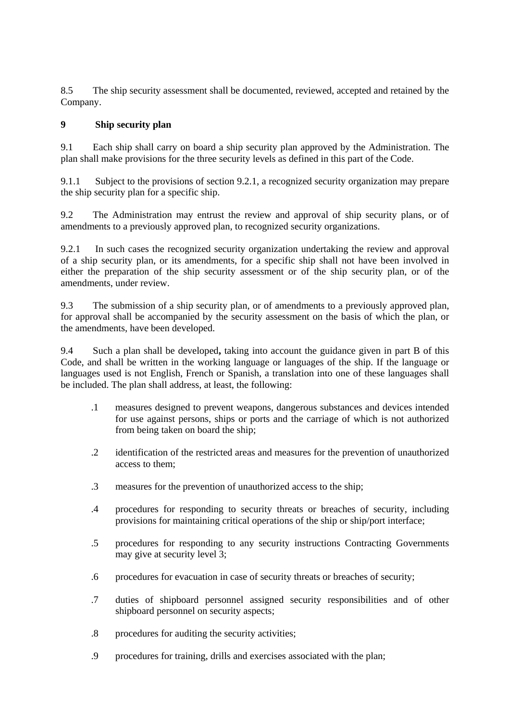8.5The ship security assessment shall be documented, reviewed, accepted and retained by the Company.

## **9 Ship security plan**

9.1Each ship shall carry on board a ship security plan approved by the Administration. The plan shall make provisions for the three security levels as defined in this part of the Code.

9.1.1 Subject to the provisions of section 9.2.1, a recognized security organization may prepare the ship security plan for a specific ship.

9.2The Administration may entrust the review and approval of ship security plans, or of amendments to a previously approved plan, to recognized security organizations.

9.2.1 In such cases the recognized security organization undertaking the review and approval of a ship security plan, or its amendments, for a specific ship shall not have been involved in either the preparation of the ship security assessment or of the ship security plan, or of the amendments, under review.

9.3The submission of a ship security plan, or of amendments to a previously approved plan, for approval shall be accompanied by the security assessment on the basis of which the plan, or the amendments, have been developed.

9.4Such a plan shall be developed**,** taking into account the guidance given in part B of this Code, and shall be written in the working language or languages of the ship. If the language or languages used is not English, French or Spanish, a translation into one of these languages shall be included. The plan shall address, at least, the following:

- .1 measures designed to prevent weapons, dangerous substances and devices intended for use against persons, ships or ports and the carriage of which is not authorized from being taken on board the ship;
- .2 identification of the restricted areas and measures for the prevention of unauthorized access to them;
- .3 measures for the prevention of unauthorized access to the ship;
- .4 procedures for responding to security threats or breaches of security, including provisions for maintaining critical operations of the ship or ship/port interface;
- .5 procedures for responding to any security instructions Contracting Governments may give at security level 3;
- .6 procedures for evacuation in case of security threats or breaches of security;
- .7 duties of shipboard personnel assigned security responsibilities and of other shipboard personnel on security aspects;
- .8 procedures for auditing the security activities;
- .9 procedures for training, drills and exercises associated with the plan;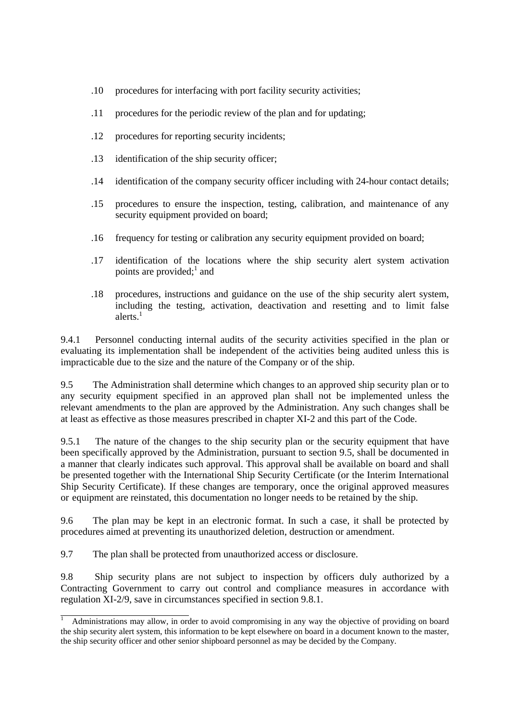- .10 procedures for interfacing with port facility security activities;
- .11 procedures for the periodic review of the plan and for updating;
- .12 procedures for reporting security incidents;
- .13 identification of the ship security officer;
- .14 identification of the company security officer including with 24-hour contact details;
- .15 procedures to ensure the inspection, testing, calibration, and maintenance of any security equipment provided on board;
- .16 frequency for testing or calibration any security equipment provided on board;
- .17 identification of the locations where the ship security alert system activation points are provided; $\frac{1}{1}$  and
- .18 procedures, instructions and guidance on the use of the ship security alert system, including the testing, activation, deactivation and resetting and to limit false alerts. 1

9.4.1 Personnel conducting internal audits of the security activities specified in the plan or evaluating its implementation shall be independent of the activities being audited unless this is impracticable due to the size and the nature of the Company or of the ship.

9.5The Administration shall determine which changes to an approved ship security plan or to any security equipment specified in an approved plan shall not be implemented unless the relevant-amendments to the plan are approved by the Administration. Any such changes shall be at least as effective as those measures prescribed in chapter XI-2 and this part of the Code.

9.5.1 The nature of the changes to the ship security plan or the security equipment that have been specifically approved by the Administration, pursuant to section 9.5, shall be documented in a manner that clearly indicates such approval. This approval shall be available on board and shall be presented together with the International Ship Security Certificate (or the Interim International Ship Security Certificate). If these changes are temporary, once the original approved measures or-equipment are reinstated, this documentation no longer needs to be retained by the ship.

9.6The plan may be kept in an electronic format. In such a case, it shall be protected by procedures aimed at preventing its unauthorized deletion, destruction or amendment.

9.7The plan shall be protected from unauthorized access or disclosure.

 $\overline{a}$ 

9.8Ship security plans are not subject to inspection by officers duly authorized by a Contracting Government to carry out control and compliance measures in accordance with regulation XI-2/9, save in circumstances specified in section 9.8.1.

<sup>1</sup> Administrations may allow, in order to avoid compromising in any way the objective of providing on board the ship security alert system, this information to be kept elsewhere on board in a document known to the master, the ship security officer and other senior shipboard personnel as may be decided by the Company.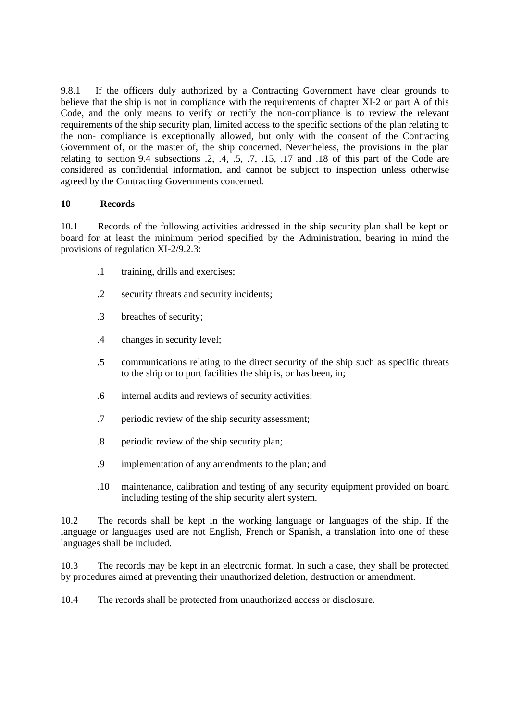9.8.1 If the officers duly authorized by a Contracting Government have clear grounds to believe that the ship is not in compliance with the requirements of chapter XI-2 or part A of this Code, and the only means to verify or rectify the non-compliance is to review the relevant requirements of the ship security plan, limited access to the specific sections of the plan relating to the non- compliance is exceptionally allowed, but only with the consent of the Contracting Government of, or the master of, the ship concerned. Nevertheless, the provisions in the plan relating to section 9.4 subsections  $.2, .4, .5, .7, .15, .17$  and  $.18$  of this part of the Code are considered as confidential information, and cannot be subject to inspection unless otherwise agreed by the Contracting Governments concerned.

#### **10 Records**

10.1Records of the following activities addressed in the ship security plan shall be kept on board for at least the minimum period specified by the Administration, bearing in mind the provisions of regulation XI-2/9.2.3:

- .1 training, drills and exercises;
- .2 security threats and security incidents;
- .3 breaches of security;
- .4 changes in security level;
- .5 communications relating to the direct security of the ship such as specific threats to the ship or to port facilities the ship is, or has been, in;
- .6 internal audits and reviews of security activities;
- .7 periodic review of the ship security assessment;
- .8 periodic review of the ship security plan;
- .9 implementation of any amendments to the plan; and
- .10 maintenance, calibration and testing of any security equipment provided on board including testing of the ship security alert system.

10.2The records shall be kept in the working language or languages of the ship. If the language or languages used are not English, French or Spanish, a translation into one of these languages shall be included.

10.3The records may be kept in an electronic format. In such a case, they shall be protected by procedures aimed at preventing their unauthorized deletion, destruction or amendment.

10.4The records shall be protected from unauthorized access or disclosure.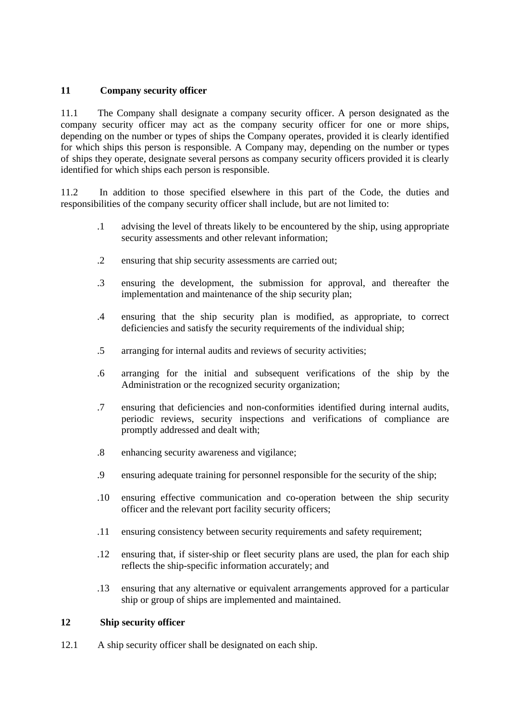## **11 Company security officer**

11.1 The Company shall designate a company security officer. A person designated as the company security officer may act as the company security officer for one or more ships, depending on the number or types of ships the Company operates, provided it is clearly identified for which ships this person is responsible. A Company may, depending on the number or types of-ships they operate, designate several persons as company security officers provided it is clearly identified for which ships each person is responsible.

11.2 In addition to those specified elsewhere in this part of the Code, the duties and responsibilities of the company security officer shall include, but are not limited to:

- .1 advising the level of threats likely to be encountered by the ship, using appropriate security assessments and other relevant information;
- .2 ensuring that ship security assessments are carried out;
- .3 ensuring the development, the submission for approval, and thereafter the implementation and maintenance of the ship security plan;
- .4 ensuring that the ship security plan is modified, as appropriate, to correct deficiencies and satisfy the security requirements of the individual ship;
- .5 arranging for internal audits and reviews of security activities;
- .6 arranging for the initial and subsequent verifications of the ship by the Administration or the recognized security organization;
- .7 ensuring that deficiencies and non-conformities identified during internal audits, periodic reviews, security inspections and verifications of compliance are promptly addressed and dealt with;
- .8 enhancing security awareness and vigilance;
- .9 ensuring adequate training for personnel responsible for the security of the ship;
- .10 ensuring effective communication and co-operation between the ship security officer and the relevant port facility security officers;
- .11 ensuring consistency between security requirements and safety requirement;
- .12 ensuring that, if sister-ship or fleet security plans are used, the plan for each ship reflects the ship-specific information accurately; and
- .13 ensuring that any alternative or equivalent arrangements approved for a particular ship or group of ships are implemented and maintained.

#### **12 Ship security officer**

12.1 A ship security officer shall be designated on each ship.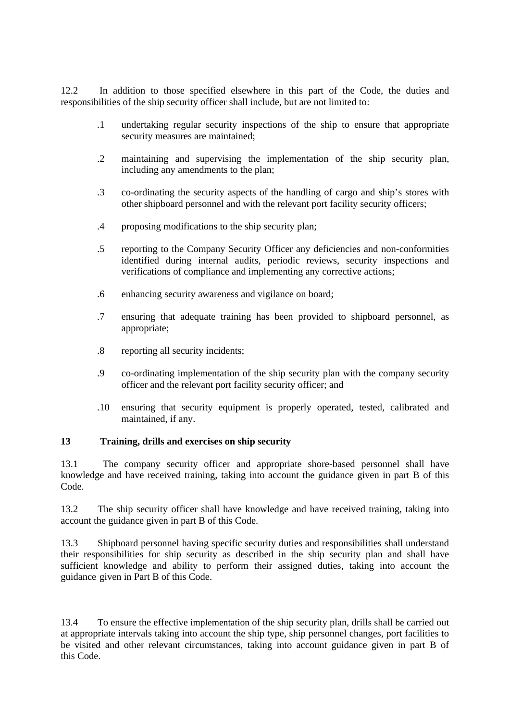12.2 In addition to those specified elsewhere in this part of the Code, the duties and responsibilities of the ship security officer shall include, but are not limited to:

- .1 undertaking regular security inspections of the ship to ensure that appropriate security measures are maintained;
- .2 maintaining and supervising the implementation of the ship security plan, including any amendments to the plan;
- .3 co-ordinating the security aspects of the handling of cargo and ship's stores with other shipboard personnel and with the relevant port facility security officers;
- .4 proposing modifications to the ship security plan;
- .5 reporting to the Company Security Officer any deficiencies and non-conformities identified during internal audits, periodic reviews, security inspections and verifications of compliance and implementing any corrective actions;
- .6 enhancing security awareness and vigilance on board;
- .7 ensuring that adequate training has been provided to shipboard personnel, as appropriate;
- .8 reporting all security incidents;
- .9 co-ordinating implementation of the ship security plan with the company security officer and the relevant port facility security officer; and
- .10 ensuring that security equipment is properly operated, tested, calibrated and maintained, if any.

#### **13 Training, drills and exercises on ship security**

13.1 The company security officer and appropriate shore-based personnel shall have knowledge and have received training, taking into account the guidance given in part B of this Code.

13.2 The ship security officer shall have knowledge and have received training, taking into account the guidance given in part B of this Code.

13.3 Shipboard personnel having specific security duties and responsibilities shall understand their responsibilities for ship security as described in the ship security plan and shall have sufficient knowledge and ability to perform their assigned duties, taking into account the guidance-given in Part B of this Code.

13.4 To ensure the effective implementation of the ship security plan, drills shall be carried out at appropriate intervals taking into account the ship type, ship personnel changes, port facilities to be visited and other relevant circumstances, taking into account guidance given in part B of this Code.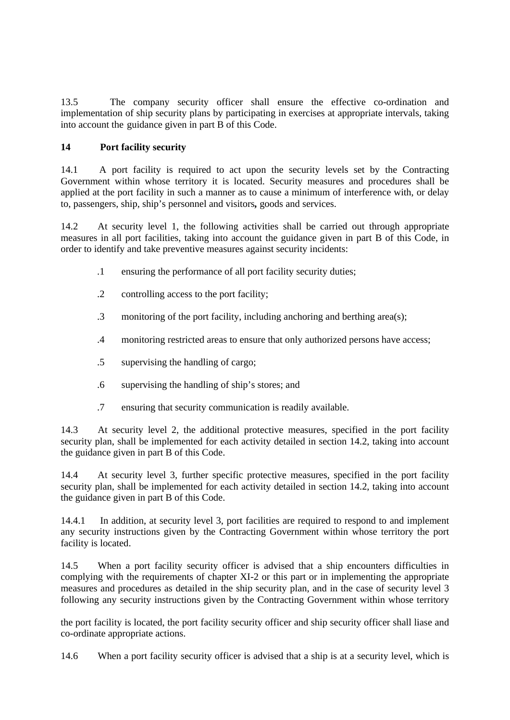13.5 The company security officer shall ensure the effective co-ordination and implementation of ship security plans by participating in exercises at appropriate intervals, taking into account the-guidance given in part B of this Code.

## **14 Port facility security**

14.1 A port facility is required to act upon the security levels set by the Contracting Government within whose territory it is located. Security measures and procedures shall be applied at the port facility in such a manner as to cause a minimum of interference with, or delay to, passengers, ship, ship's personnel and visitors*,* goods and services.

14.2 At security level 1, the following activities shall be carried out through appropriate measures in all port facilities, taking into account the guidance given in part B of this Code, in order to identify and take preventive measures against security incidents:

- .1 ensuring the performance of all port facility security duties;
- .2 controlling access to the port facility;
- .3 monitoring of the port facility, including anchoring and berthing area(s);
- .4 monitoring restricted areas to ensure that only authorized persons have access;
- .5 supervising the handling of cargo;
- .6 supervising the handling of ship's stores; and
- .7 ensuring that security communication is readily available.

14.3 At security level 2, the additional protective measures, specified in the port facility security plan, shall be implemented for each activity detailed in section 14.2, taking into account the guidance given in part B of this Code.

14.4 At security level 3, further specific protective measures, specified in the port facility security plan, shall be implemented for each activity detailed in section 14.2, taking into account the guidance given in part B of this Code.

14.4.1 In addition, at security level 3, port facilities are required to respond to and implement any security instructions given by the Contracting Government within whose territory the port facility is located.

14.5 When a port facility security officer is advised that a ship encounters difficulties in complying with the requirements of chapter XI-2 or this part or in implementing the appropriate measures and procedures as detailed in the ship security plan, and in the case of security level 3 following any security instructions given by the Contracting Government within whose territory

the port facility is located, the port facility security officer and ship security officer shall liase and co-ordinate appropriate actions.

14.6 When a port facility security officer is advised that a ship is at a security level, which is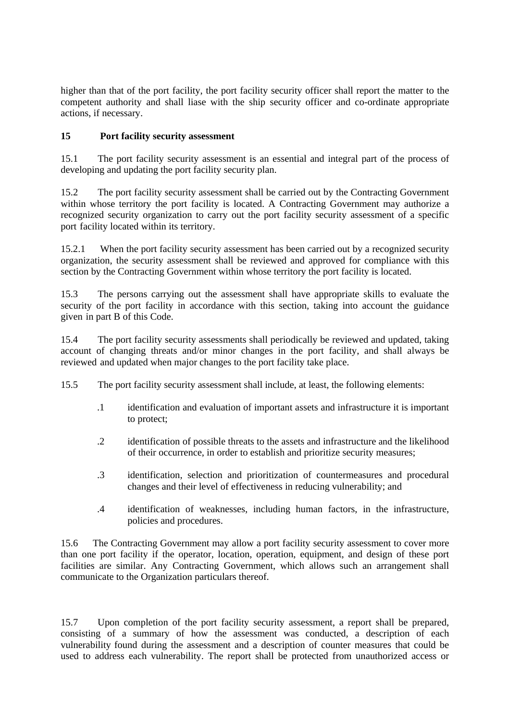higher than that of the port facility, the port facility security officer shall report the matter to the competent authority and shall liase with the ship security officer and co-ordinate appropriate actions, if necessary.

## **15 Port facility security assessment**

15.1 The port facility security assessment is an essential and integral part of the process of developing and updating the port facility security plan.

15.2 The port facility security assessment shall be carried out by the Contracting Government within whose territory the port facility is located. A Contracting Government may authorize a recognized security organization to carry out the port facility security assessment of a specific port-facility located within its territory.

15.2.1 When the port facility security assessment has been carried out by a recognized security organization, the security assessment shall be reviewed and approved for compliance with this section by the Contracting Government within whose territory the port facility is located.

15.3 The persons carrying out the assessment shall have appropriate skills to evaluate the security of the port facility in accordance with this section*,* taking into account the guidance given in part B of this Code.

15.4 The port facility security assessments shall periodically be reviewed and updated, taking account of changing threats and/or minor changes in the port facility, and shall always be reviewed and updated when major changes to the port facility take place.

- 15.5 The port facility security assessment shall include, at least, the following elements:
	- .1 identification and evaluation of important assets and infrastructure it is important to protect;
	- .2 identification of possible threats to the assets and infrastructure and the likelihood of their occurrence, in order to establish and prioritize security measures;
	- .3 identification, selection and prioritization of countermeasures and procedural changes and their level of effectiveness in reducing vulnerability; and
	- .4 identification of weaknesses, including human factors, in the infrastructure, policies and procedures.

15.6 The Contracting Government may allow a port facility security assessment to cover more than one port facility if the operator, location, operation, equipment, and design of these port facilities are similar. Any Contracting Government, which allows such an arrangement shall communicate to the Organization particulars thereof.

15.7 Upon completion of the port facility security assessment, a report shall be prepared, consisting of a summary of how the assessment was conducted, a description of each vulnerability-found during the assessment and a description of counter measures that could be used to address each vulnerability. The report shall be protected from unauthorized access or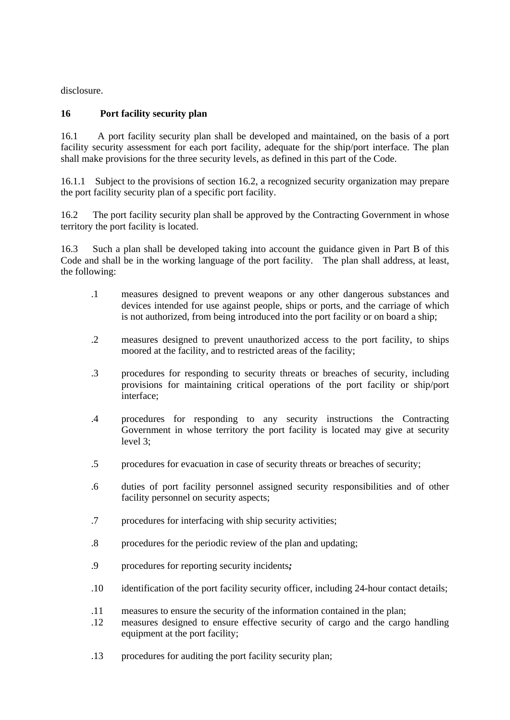disclosure.

## **16 Port facility security plan**

16.1 A port facility security plan shall be developed and maintained, on the basis of a port facility security assessment for each port facility, adequate for the ship/port interface. The plan shall make provisions for the three security levels, as defined in this part of the Code.

16.1.1 Subject to the provisions of section 16.2, a recognized security organization may prepare the port facility security plan of a specific port facility.

16.2 The port facility security plan shall be approved by the Contracting Government in whose territory the port facility is located.

16.3 Such a plan shall be developed taking into account the guidance given in Part B of this Code and shall be in the working language of the port facility. The plan shall address, at least, the following:

- .1 measures designed to prevent weapons or any other dangerous substances and devices intended for use against people, ships or ports, and the carriage of which is not authorized, from being introduced into the port facility or on board a ship;
- .2 measures designed to prevent unauthorized access to the port facility, to ships moored at the facility, and to restricted areas of the facility;
- .3 procedures for responding to security threats or breaches of security, including provisions for maintaining critical operations of the port facility or ship/port interface;
- .4 procedures for responding to any security instructions the Contracting Government in whose territory the port facility is located may give at security level 3;
- .5 procedures for evacuation in case of security threats or breaches of security;
- .6 duties of port facility personnel assigned security responsibilities and of other facility personnel on security aspects;
- .7 procedures for interfacing with ship security activities;
- .8 procedures for the periodic review of the plan and updating;
- .9 procedures for reporting security incidents*;*
- .10 identification of the port facility security officer, including 24-hour contact details;
- .11 measures to ensure the security of the information contained in the plan;
- .12 measures designed to ensure effective security of cargo and the cargo handling equipment at the port facility;
- .13 procedures for auditing the port facility security plan;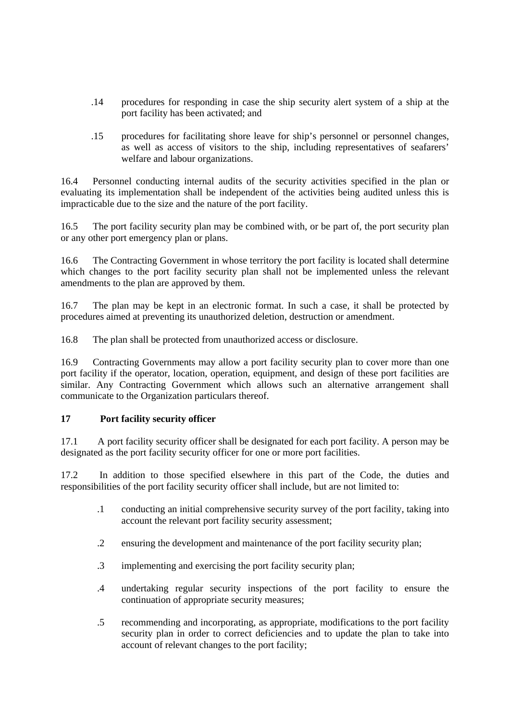- .14 procedures for responding in case the ship security alert system of a ship at the port facility has been activated; and
- .15 procedures for facilitating shore leave for ship's personnel or personnel changes, as well as access of visitors to the ship, including representatives of seafarers' welfare and labour organizations.

16.4 Personnel conducting internal audits of the security activities specified in the plan or evaluating its implementation shall be independent of the activities being audited unless this is impracticable due to the size and the nature of the port facility.

16.5 The port facility security plan may be combined with, or be part of, the port security plan or any other port emergency plan or plans.

16.6 The Contracting Government in whose territory the port facility is located shall determine which changes to the port facility security plan shall not be implemented unless the relevant amendments to the plan are approved by them.

16.7 The plan may be kept in an electronic format. In such a case, it shall be protected by procedures aimed at preventing its unauthorized deletion, destruction or amendment.

16.8 The plan shall be protected from unauthorized access or disclosure.

16.9 Contracting Governments may allow a port facility security plan to cover more than one port facility if the operator, location, operation, equipment, and design of these port facilities are similar. Any Contracting Government which allows such an alternative arrangement shall communicate to the Organization particulars thereof.

#### **17 Port facility security officer**

17.1 A port facility security officer shall be designated for each port facility. A person may be designated as the port facility security officer for one or more port facilities.

17.2 In addition to those specified elsewhere in this part of the Code, the duties and responsibilities of the port facility security officer shall include, but are not limited to:

- .1 conducting an initial comprehensive security survey of the port facility, taking into account the relevant port facility security assessment;
- .2 ensuring the development and maintenance of the port facility security plan;
- .3 implementing and exercising the port facility security plan;
- .4 undertaking regular security inspections of the port facility to ensure the continuation of appropriate security measures;
- .5 recommending and incorporating, as appropriate, modifications to the port facility security plan in order to correct deficiencies and to update the plan to take into account of relevant changes to the port facility;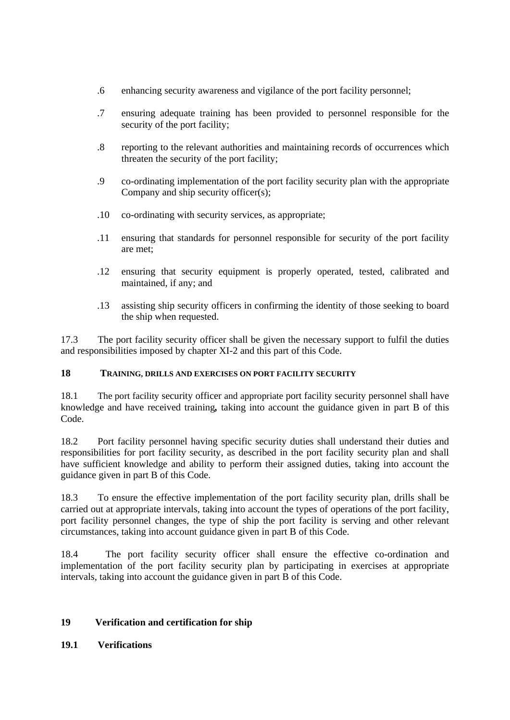- .6 enhancing security awareness and vigilance of the port facility personnel;
- .7 ensuring adequate training has been provided to personnel responsible for the security of the port facility;
- .8 reporting to the relevant authorities and maintaining records of occurrences which threaten the security of the port facility;
- .9 co-ordinating implementation of the port facility security plan with the appropriate Company and ship security officer(s):
- .10 co-ordinating with security services, as appropriate;
- .11 ensuring that standards for personnel responsible for security of the port facility are met;
- .12 ensuring that security equipment is properly operated, tested, calibrated and maintained, if any; and
- .13 assisting ship security officers in confirming the identity of those seeking to board the ship when requested.

17.3 The port facility security officer shall be given the necessary support to fulfil the duties and responsibilities imposed by chapter XI-2 and this part of this Code.

## **18 TRAINING, DRILLS AND EXERCISES ON PORT FACILITY SECURITY**

18.1 The port facility security officer and appropriate port facility security personnel shall have knowledge and have received training*,* taking into account the guidance given in part B of this Code.

18.2 Port facility personnel having specific security duties shall understand their duties and responsibilities for port facility security, as described in the port facility security plan and shall have sufficient knowledge and ability to perform their assigned duties, taking into account the guidance given in part B of this Code.

18.3 To ensure the effective implementation of the port facility security plan, drills shall be carried out at appropriate intervals, taking into account the types of operations of the port facility, port facility personnel changes, the type of ship the port facility is serving and other relevant circumstances, taking into account guidance given in part B of this Code.

18.4 The port facility security officer shall ensure the effective co-ordination and implementation of the port facility security plan by participating in exercises at appropriate intervals, taking into account the guidance given in part B of this Code.

## **19 Verification and certification for ship**

#### **19.1 Verifications**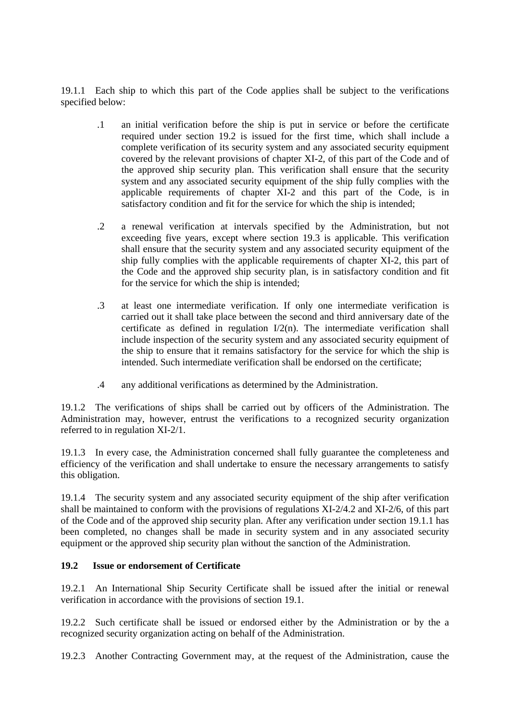19.1.1 Each ship to which this part of the Code applies shall be subject to the verifications specified below:

- .1 an initial verification before the ship is put in service or before the certificate required under section 19.2 is issued for the first time, which shall include a complete verification of its security system and any associated security equipment covered by the relevant provisions of chapter XI-2, of this part of the Code and of the approved ship security plan. This verification shall ensure that the security system and any associated security equipment of the ship fully complies with the applicable requirements of chapter XI-2 and this part of the Code, is in satisfactory condition and fit for the service for which the ship is intended;
- .2 a renewal verification at intervals specified by the Administration, but not exceeding five years, except where section 19.3 is applicable. This verification shall ensure that the security system and any associated security equipment of the ship fully complies with the applicable requirements of chapter XI-2, this part of the Code and the approved ship security plan, is in satisfactory condition and fit for the service for which the ship is intended;
- .3 at least one intermediate verification. If only one intermediate verification is carried out it shall take place between the second and third anniversary date of the certificate as defined in regulation  $I/2(n)$ . The intermediate verification shall include inspection of the security system and any associated security equipment of the ship to ensure that it remains satisfactory for the service for which the ship is intended. Such intermediate verification shall be endorsed on the certificate;
- .4 any additional verifications as determined by the Administration.

19.1.2 The verifications of ships shall be carried out by officers of the Administration. The Administration may, however, entrust the verifications to a recognized security organization referred to in regulation XI-2/1.

19.1.3 In every case, the Administration concerned shall fully guarantee the completeness and efficiency of the verification and shall undertake to ensure the necessary arrangements to satisfy this obligation.

19.1.4 The security system and any associated security equipment of the ship after verification shall be maintained to conform with the provisions of regulations XI-2/4.2 and XI-2/6, of this part of-the Code and of the approved ship security plan. After any verification under section 19.1.1 has been completed, no changes shall be made in security system and in any associated security equipment or the approved ship security plan without the sanction of the Administration.

#### **19.2 Issue or endorsement of Certificate**

19.2.1 An International Ship Security Certificate shall be issued after the initial or renewal verification in accordance with the provisions of section 19.1.

19.2.2 Such certificate shall be issued or endorsed either by the Administration or by the a recognized security organization acting on behalf of the Administration.

19.2.3 Another Contracting Government may, at the request of the Administration, cause the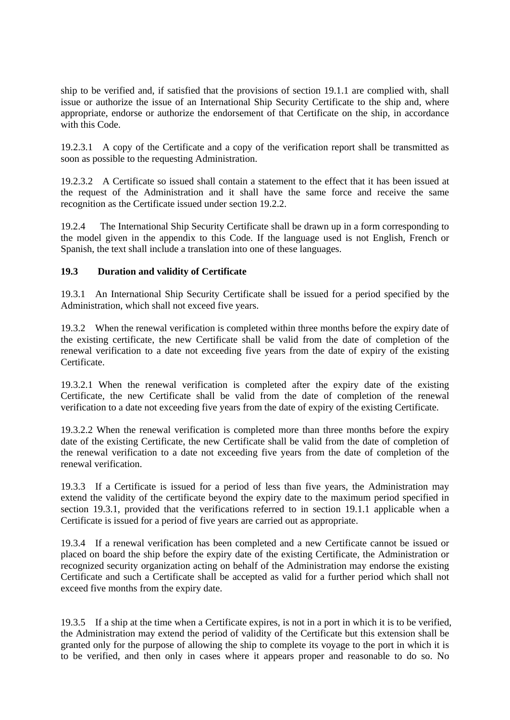ship to be verified and, if satisfied that the provisions of section 19.1.1 are complied with, shall issue or authorize the issue of an International Ship Security Certificate to the ship and, where appropriate, endorse or authorize the endorsement of that Certificate on the ship, in accordance with this Code.

19.2.3.1 A copy of the Certificate and a copy of the verification report shall be transmitted as soon as possible to the requesting Administration.

19.2.3.2 A Certificate so issued shall contain a statement to the effect that it has been issued at the request of the Administration and it shall have the same force and receive the same recognition as the Certificate issued under section 19.2.2.

19.2.4 The International Ship Security Certificate shall be drawn up in a form corresponding to the model given in the appendix to this Code. If the language used is not English, French or Spanish, the text shall include a translation into one of these languages.

#### **19.3 Duration and validity of Certificate**

19.3.1 An International Ship Security Certificate shall be issued for a period specified by the Administration, which shall not exceed five years.

19.3.2 When the renewal verification is completed within three months before the expiry date of the existing certificate, the new Certificate shall be valid from the date of completion of the renewal verification to a date not exceeding five years from the date of expiry of the existing Certificate.

19.3.2.1 When the renewal verification is completed after the expiry date of the existing Certificate, the new Certificate shall be valid from the date of completion of the renewal verification to a date not exceeding five years from the date of expiry of the existing Certificate.

19.3.2.2 When the renewal verification is completed more than three months before the expiry date of the existing Certificate, the new Certificate shall be valid from the date of completion of the renewal verification to a date not exceeding five years from the date of completion of the renewal verification.

19.3.3 If a Certificate is issued for a period of less than five years, the Administration may extend the validity of the certificate beyond the expiry date to the maximum period specified in section 19.3.1, provided that the verifications referred to in section 19.1.1 applicable when a Certificate is issued for a period of five years are carried out as appropriate.

19.3.4 If a renewal verification has been completed and a new Certificate cannot be issued or placed on board the ship before the expiry date of the existing Certificate, the Administration or recognized security organization acting on behalf of the Administration may endorse the existing Certificate and such a Certificate shall be accepted as valid for a further period which shall not exceed five months from the expiry date.

19.3.5 If a ship at the time when a Certificate expires, is not in a port in which it is to be verified, the Administration may extend the period of validity of the Certificate but this extension shall be granted only for the purpose of allowing the ship to complete its voyage to the port in which it is to be verified, and then only in cases where it appears proper and reasonable to do so. No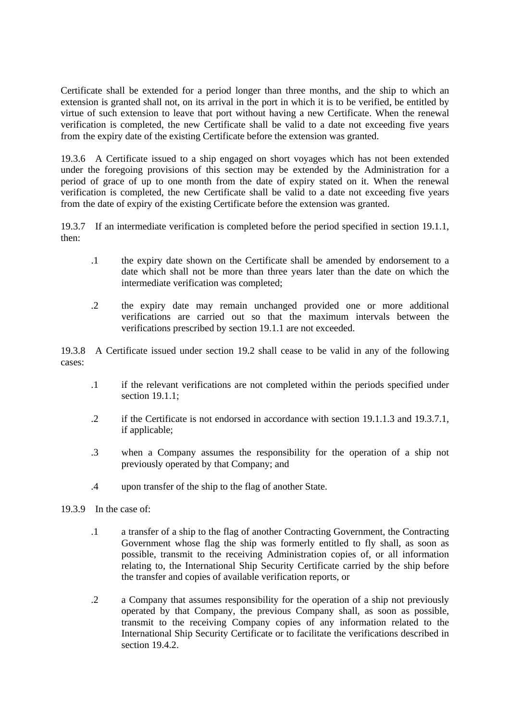Certificate shall be extended for a period longer than three months, and the ship to which an extension is granted shall not, on its arrival in the port in which it is to be verified, be entitled by virtue of such extension to leave that port without having a new Certificate. When the renewal verification is completed, the new Certificate shall be valid to a date not exceeding five years from-the expiry date of the existing Certificate before the extension was granted.

19.3.6 A Certificate issued to a ship engaged on short voyages which has not been extended under the foregoing provisions of this section may be extended by the Administration for a period of grace of up to one month from the date of expiry stated on it. When the renewal verification is completed, the new Certificate shall be valid to a date not exceeding five years from-the date of expiry of the existing Certificate before the extension was granted.

19.3.7 If an intermediate verification is completed before the period specified in section 19.1.1, then:

- .1 the expiry date shown on the Certificate shall be amended by endorsement to a date which shall not be more than three years later than the date on which the intermediate verification was completed;
- .2 the expiry date may remain unchanged provided one or more additional verifications are carried out so that the maximum intervals between the verifications prescribed by section 19.1.1 are not exceeded.

19.3.8 A Certificate issued under section 19.2 shall cease to be valid in any of the following cases:

- .1 if the relevant verifications are not completed within the periods specified under section 19.1.1;
- .2 if the Certificate is not endorsed in accordance with section 19.1.1.3 and 19.3.7.1, if applicable;
- .3 when a Company assumes the responsibility for the operation of a ship not previously operated by that Company; and
- .4 upon transfer of the ship to the flag of another State.
- 19.3.9 In the case of:
	- .1 a transfer of a ship to the flag of another Contracting Government, the Contracting Government whose flag the ship was formerly entitled to fly shall, as soon as possible, transmit to the receiving Administration copies of, or all information relating to, the International Ship Security Certificate carried by the ship before the transfer and copies of available verification reports, or
	- .2 a Company that assumes responsibility for the operation of a ship not previously operated by that Company, the previous Company shall, as soon as possible, transmit to the receiving Company copies of any information related to the International Ship Security Certificate or to facilitate the verifications described in section 19.4.2.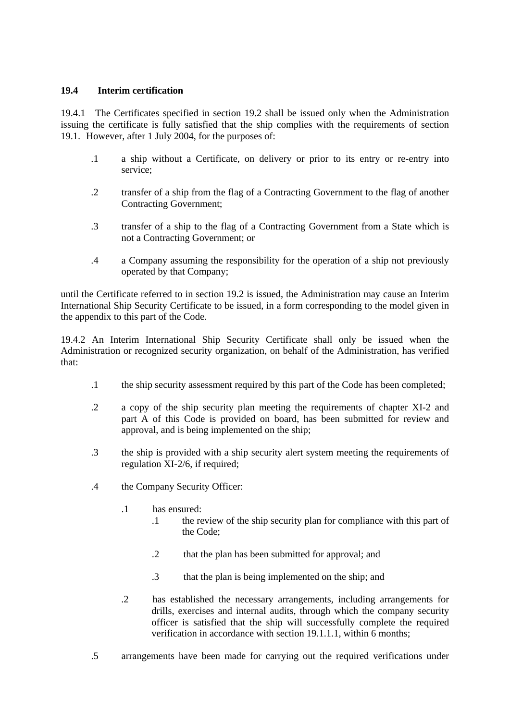## **19.4 Interim certification**

19.4.1 The Certificates specified in section 19.2 shall be issued only when the Administration issuing the certificate is fully satisfied that the ship complies with the requirements of section 19.1. However, after 1 July 2004, for the purposes of:

- .1 a ship without a Certificate, on delivery or prior to its entry or re-entry into service;
- .2 transfer of a ship from the flag of a Contracting Government to the flag of another Contracting Government;
- .3 transfer of a ship to the flag of a Contracting Government from a State which is not a Contracting Government; or
- .4 a Company assuming the responsibility for the operation of a ship not previously operated by that Company;

until the Certificate referred to in section 19.2 is issued, the Administration may cause an Interim International Ship Security Certificate to be issued, in a form corresponding to the model given in the appendix to this part of the Code.

19.4.2 An Interim International Ship Security Certificate shall only be issued when the Administration or recognized security organization, on behalf of the Administration, has verified that:

- .1 the ship security assessment required by this part of the Code has been completed;
- .2 a copy of the ship security plan meeting the requirements of chapter XI-2 and part A of this Code is provided on board, has been submitted for review and approval, and is being implemented on the ship;
- .3 the ship is provided with a ship security alert system meeting the requirements of regulation XI-2/6, if required;
- .4 the Company Security Officer:
	- .1 has ensured:
		- .1 the review of the ship security plan for compliance with this part of the Code;
		- .2 that the plan has been submitted for approval; and
		- .3 that the plan is being implemented on the ship; and
	- .2 has established the necessary arrangements, including arrangements for drills, exercises and internal audits, through which the company security officer is satisfied that the ship will successfully complete the required verification in accordance with section 19.1.1.1, within 6 months;
- .5 arrangements have been made for carrying out the required verifications under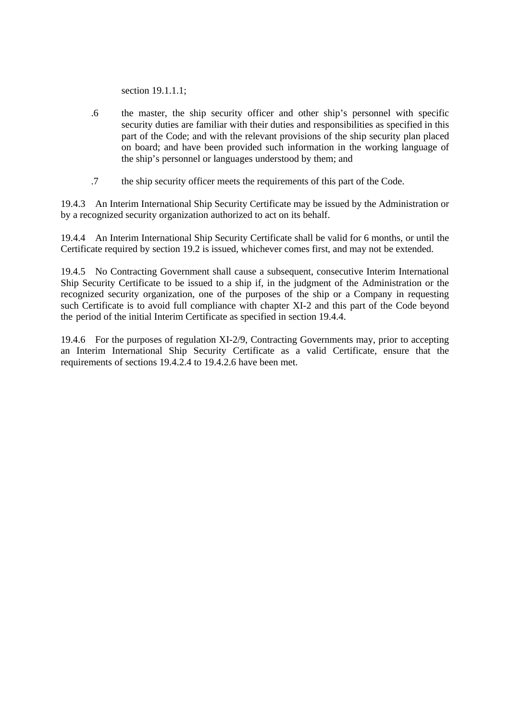section 19.1.1.1;

- .6 the master, the ship security officer and other ship's personnel with specific security duties are familiar with their duties and responsibilities as specified in this part of the Code; and with the relevant provisions of the ship security plan placed on board; and have been provided such information in the working language of the ship's personnel or languages understood by them; and
- .7 the ship security officer meets the requirements of this part of the Code.

19.4.3 An Interim International Ship Security Certificate may be issued by the Administration or by a recognized security organization authorized to act on its behalf.

19.4.4 An Interim International Ship Security Certificate shall be valid for 6 months, or until the Certificate required by section 19.2 is issued, whichever comes first, and may not be extended.

19.4.5 No Contracting Government shall cause a subsequent, consecutive Interim International Ship Security Certificate to be issued to a ship if, in the judgment of the Administration or the recognized security organization, one of the purposes of the ship or a Company in requesting such Certificate is to avoid full compliance with chapter XI-2 and this part of the Code beyond the period of the initial Interim Certificate as specified in section 19.4.4.

19.4.6 For the purposes of regulation XI-2/9, Contracting Governments may, prior to accepting an Interim International Ship Security Certificate as a valid Certificate, ensure that the requirements of sections 19.4.2.4 to 19.4.2.6 have been met.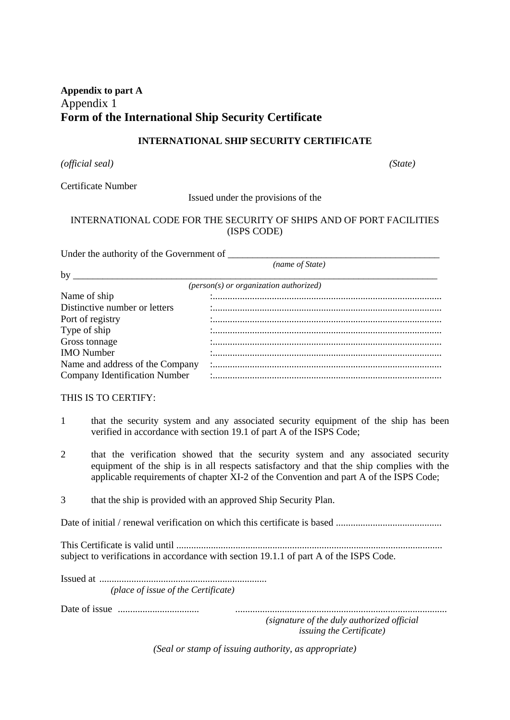## **Appendix to part A** Appendix 1 **Form of the International Ship Security Certificate**

## **INTERNATIONAL SHIP SECURITY CERTIFICATE**

*(official seal) (State)*

Certificate Number

Issued under the provisions of the

## INTERNATIONAL CODE FOR THE SECURITY OF SHIPS AND OF PORT FACILITIES (ISPS CODE)

Under the authority of the Government of

 *(name of State)*

| by                                   |                                          |
|--------------------------------------|------------------------------------------|
|                                      | $(person(s) or organization authorized)$ |
| Name of ship                         |                                          |
| Distinctive number or letters        |                                          |
| Port of registry                     |                                          |
| Type of ship                         |                                          |
| Gross tonnage                        |                                          |
| <b>IMO</b> Number                    |                                          |
| Name and address of the Company      |                                          |
| <b>Company Identification Number</b> |                                          |

#### THIS IS TO CERTIFY:

- 1 that the security system and any associated security equipment of the ship has been verified in accordance with section 19.1 of part A of the ISPS Code;
- 2 that the verification showed that the security system and any associated security equipment of the ship is in all respects satisfactory and that the ship complies with the applicable requirements of chapter XI-2 of the Convention and part A of the ISPS Code;
- 3 that the ship is provided with an approved Ship Security Plan.

Date of initial / renewal verification on which this certificate is based ...........................................

This Certificate is valid until ............................................................................................................ subject to verifications in accordance with section 19.1.1 of part A of the ISPS Code.

Issued at..................................................................... *(place of issue of the Certificate)*

Date of issue .................................. ......................................................................................

*(signature of the duly authorized official issuing the Certificate)*

*(Seal or stamp of issuing authority, as appropriate)*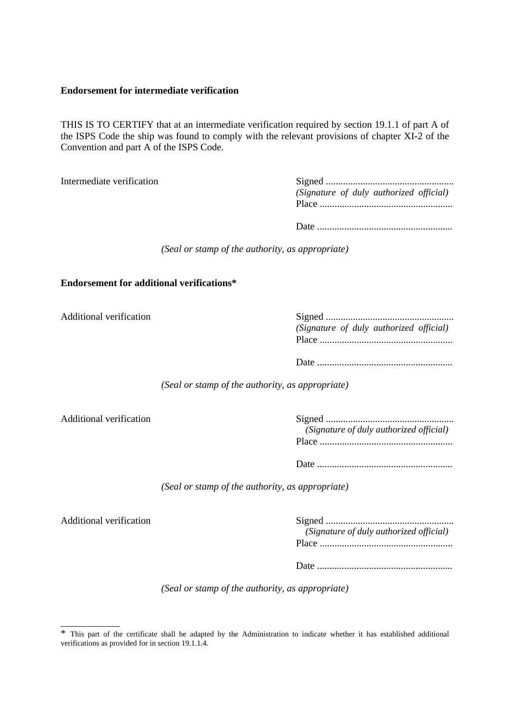#### **Endorsement for intermediate verification**

THIS IS TO CERTIFY that at an intermediate verification required by section 19.1.1 of part A of the ISPS Code the ship was found to comply with the relevant provisions of chapter XI-2 of the Convention and part A of the ISPS Code.

Intermediate verification

|  | (Signature of duly authorized official) |  |
|--|-----------------------------------------|--|
|  |                                         |  |

*(Seal or stamp of the authority, as appropriate)*

#### **Endorsement for additional verifications\***

Additional verification

| (Signature of duly authorized official) |
|-----------------------------------------|
|                                         |
|                                         |
|                                         |

*(Seal or stamp of the authority, as appropriate)*

Additional verification

| (Signature of duly authorized official) |
|-----------------------------------------|
|                                         |
|                                         |

Date........................................................

*(Seal or stamp of the authority, as appropriate)*

Additional verification

\_\_\_\_\_\_\_\_\_\_\_\_

| (Signature of duly authorized official) |
|-----------------------------------------|
|                                         |
|                                         |
|                                         |

Date........................................................

*(Seal or stamp of the authority, as appropriate)*

<sup>\*</sup> This part of the certificate shall be adapted by the Administration to indicate whether it has established additional verifications as provided for in section 19.1.1.4.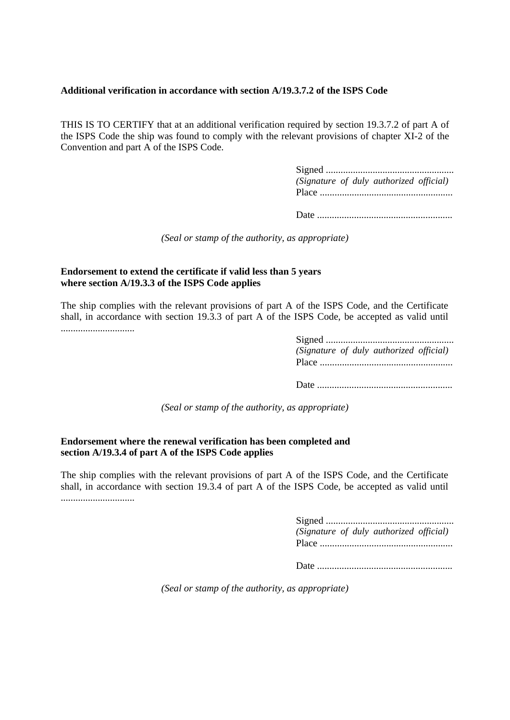#### **Additional verification in accordance with section A/19.3.7.2 of the ISPS Code**

THIS IS TO CERTIFY that at an additional verification required by section 19.3.7.2 of part A of the ISPS Code the ship was found to comply with the relevant provisions of chapter XI-2 of the Convention and part A of the ISPS Code.

> Signed..................................................... *(Signature of duly authorized official)* Place.......................................................

Date........................................................

*(Seal or stamp of the authority, as appropriate)*

#### **Endorsement to extend the certificate if valid less than 5 years where section A/19.3.3 of the ISPS Code applies**

The ship complies with the relevant provisions of part A of the ISPS Code, and the Certificate shall, in accordance with section 19.3.3 of part A of the ISPS Code, be accepted as valid until ..............................

> Signed..................................................... *(Signature of duly authorized official)* Place.......................................................

Date........................................................

*(Seal or stamp of the authority, as appropriate)*

#### **Endorsement where the renewal verification has been completed and section A/19.3.4 of part A of the ISPS Code applies**

The ship complies with the relevant provisions of part A of the ISPS Code, and the Certificate shall, in accordance with section 19.3.4 of part A of the ISPS Code, be accepted as valid until ..............................

|  | (Signature of duly authorized official) |  |
|--|-----------------------------------------|--|
|  |                                         |  |
|  |                                         |  |

Date........................................................

*(Seal or stamp of the authority, as appropriate)*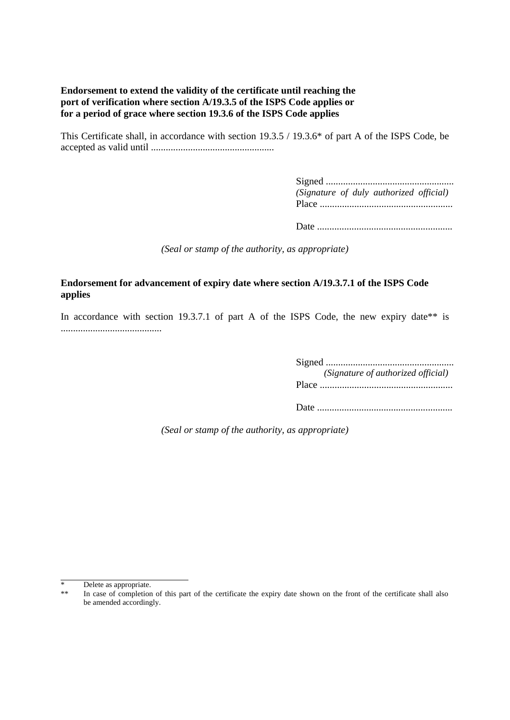## **Endorsement to extend the validity of the certificate until reaching the port of verification where section A/19.3.5 of the ISPS Code applies or for a period of grace where section 19.3.6 of the ISPS Code applies**

This Certificate shall, in accordance with section 19.3.5 / 19.3.6\* of part A of the ISPS Code, be accepted as valid until ..................................................

> Signed..................................................... *(Signature of duly authorized official)* Place.......................................................

> Date........................................................

*(Seal or stamp of the authority, as appropriate)*

## **Endorsement for advancement of expiry date where section A/19.3.7.1 of the ISPS Code applies**

In accordance with section 19.3.7.1 of part A of the ISPS Code, the new expiry date<sup>\*\*</sup> is .........................................

> Signed..................................................... *(Signature of authorized official)* Place....................................................... Date........................................................

*(Seal or stamp of the authority, as appropriate)*

Delete as appropriate.

In case of completion of this part of the certificate the expiry date shown on the front of the certificate shall also be amended accordingly.